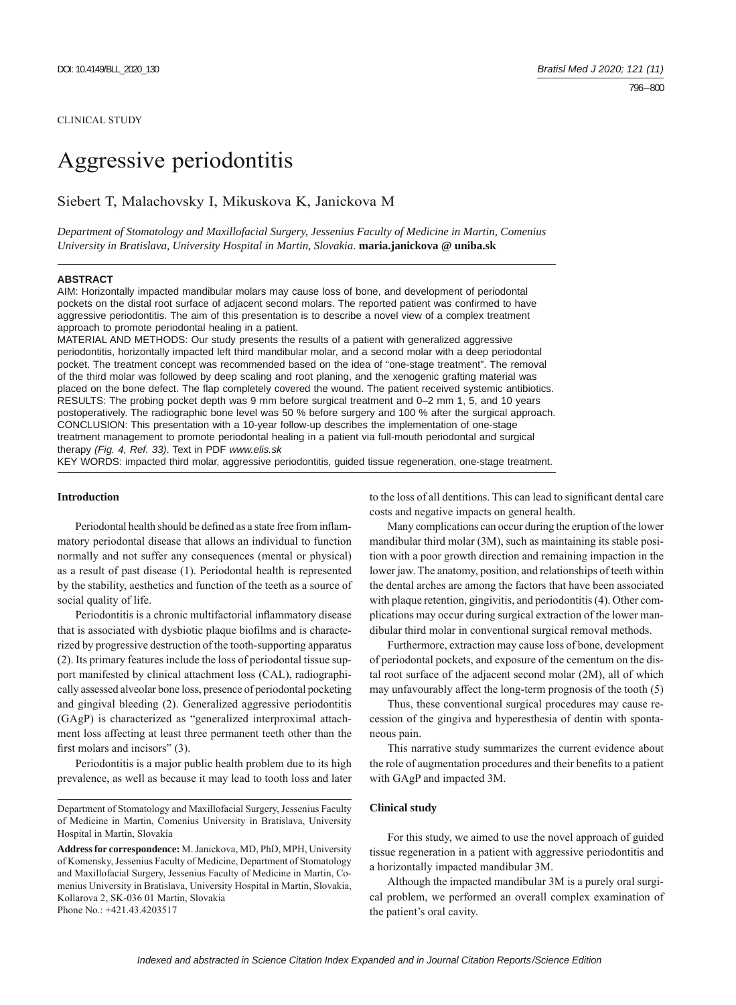#### CLINICAL STUDY

# Aggressive periodontitis

# Siebert T, Malachovsky I, Mikuskova K, Janickova M

*Department of Stomatology and Maxillofacial Surgery, Jessenius Faculty of Medicine in Martin, Comenius University in Bratislava, University Hospital in Martin, Slovakia.* **maria.janickova @ uniba.sk**

### **ABSTRACT**

AIM: Horizontally impacted mandibular molars may cause loss of bone, and development of periodontal pockets on the distal root surface of adjacent second molars. The reported patient was confirmed to have aggressive periodontitis. The aim of this presentation is to describe a novel view of a complex treatment approach to promote periodontal healing in a patient.

MATERIAL AND METHODS: Our study presents the results of a patient with generalized aggressive periodontitis, horizontally impacted left third mandibular molar, and a second molar with a deep periodontal pocket. The treatment concept was recommended based on the idea of "one-stage treatment". The removal of the third molar was followed by deep scaling and root planing, and the xenogenic grafting material was placed on the bone defect. The flap completely covered the wound. The patient received systemic antibiotics. RESULTS: The probing pocket depth was 9 mm before surgical treatment and 0–2 mm 1, 5, and 10 years postoperatively. The radiographic bone level was 50 % before surgery and 100 % after the surgical approach. CONCLUSION: This presentation with a 10-year follow-up describes the implementation of one-stage treatment management to promote periodontal healing in a patient via full-mouth periodontal and surgical therapy *(Fig. 4, Ref. 33)*. Text in PDF *www.elis.sk*

KEY WORDS: impacted third molar, aggressive periodontitis, guided tissue regeneration, one-stage treatment.

#### **Introduction**

Periodontal health should be defined as a state free from inflammatory periodontal disease that allows an individual to function normally and not suffer any consequences (mental or physical) as a result of past disease (1). Periodontal health is represented by the stability, aesthetics and function of the teeth as a source of social quality of life.

Periodontitis is a chronic multifactorial inflammatory disease that is associated with dysbiotic plaque biofilms and is characterized by progressive destruction of the tooth-supporting apparatus (2). Its primary features include the loss of periodontal tissue support manifested by clinical attachment loss (CAL), radiographically assessed alveolar bone loss, presence of periodontal pocketing and gingival bleeding (2) . Generalized aggressive periodontitis (GAgP) is characterized as "generalized interproximal attachment loss affecting at least three permanent teeth other than the first molars and incisors"  $(3)$ .

Periodontitis is a major public health problem due to its high prevalence, as well as because it may lead to tooth loss and later to the loss of all dentitions. This can lead to significant dental care costs and negative impacts on general health.

Many complications can occur during the eruption of the lower mandibular third molar (3M), such as maintaining its stable position with a poor growth direction and remaining impaction in the lower jaw. The anatomy, position, and relationships of teeth within the dental arches are among the factors that have been associated with plaque retention, gingivitis, and periodontitis (4) . Other complications may occur during surgical extraction of the lower mandibular third molar in conventional surgical removal methods.

Furthermore, extraction may cause loss of bone, development of periodontal pockets, and exposure of the cementum on the distal root surface of the adjacent second molar (2M), all of which may unfavourably affect the long-term prognosis of the tooth (5)

Thus, these conventional surgical procedures may cause recession of the gingiva and hyperesthesia of dentin with spontaneous pain.

This narrative study summarizes the current evidence about the role of augmentation procedures and their benefits to a patient with GAgP and impacted 3M.

#### **Clinical study**

For this study, we aimed to use the novel approach of guided tissue regeneration in a patient with aggressive periodontitis and a horizontally impacted mandibular 3M.

Although the impacted mandibular 3M is a purely oral surgical problem, we performed an overall complex examination of the patient's oral cavity.

Department of Stomatology and Maxillofacial Surgery, Jessenius Faculty of Medicine in Martin, Comenius University in Bratislava, University Hospital in Martin, Slovakia

**Address for correspondence:** M. Janickova, MD, PhD, MPH, University of Komensky, Jessenius Faculty of Medicine, Department of Stomatology and Maxillofacial Surgery, Jessenius Faculty of Medicine in Martin, Comenius University in Bratislava, University Hospital in Martin, Slovakia, Kollarova 2, SK-036 01 Martin, Slovakia Phone No.: +421.43.4203517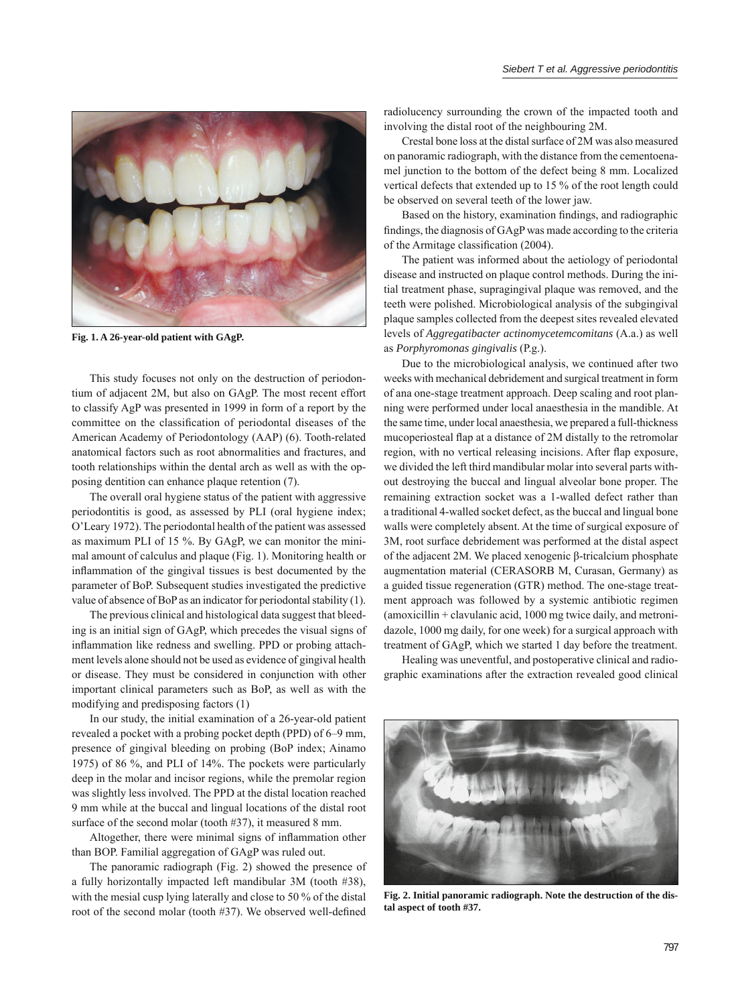

**Fig. 1. A 26-year-old patient with GAgP.**

This study focuses not only on the destruction of periodontium of adjacent 2M, but also on GAgP. The most recent effort to classify AgP was presented in 1999 in form of a report by the committee on the classification of periodontal diseases of the American Academy of Periodontology (AAP) (6). Tooth-related anatomical factors such as root abnormalities and fractures, and tooth relationships within the dental arch as well as with the opposing dentition can enhance plaque retention (7).

The overall oral hygiene status of the patient with aggressive periodontitis is good, as assessed by PLI (oral hygiene index; O'Leary 1972). The periodontal health of the patient was assessed as maximum PLI of 15 %. By GAgP, we can monitor the minimal amount of calculus and plaque (Fig. 1). Monitoring health or inflammation of the gingival tissues is best documented by the parameter of BoP. Subsequent studies investigated the predictive value of absence of BoP as an indicator for periodontal stability (1).

The previous clinical and histological data suggest that bleeding is an initial sign of GAgP, which precedes the visual signs of inflammation like redness and swelling. PPD or probing attachment levels alone should not be used as evidence of gingival health or disease. They must be considered in conjunction with other important clinical parameters such as BoP, as well as with the modifying and predisposing factors (1)

In our study, the initial examination of a 26-year-old patient revealed a pocket with a probing pocket depth (PPD) of 6–9 mm, presence of gingival bleeding on probing (BoP index; Ainamo 1975) of 86 %, and PLI of 14%. The pockets were particularly deep in the molar and incisor regions, while the premolar region was slightly less involved. The PPD at the distal location reached 9 mm while at the buccal and lingual locations of the distal root surface of the second molar (tooth #37), it measured 8 mm.

Altogether, there were minimal signs of inflammation other than BOP. Familial aggregation of GAgP was ruled out.

The panoramic radiograph (Fig. 2) showed the presence of a fully horizontally impacted left mandibular 3M (tooth #38), with the mesial cusp lying laterally and close to 50 % of the distal root of the second molar (tooth #37). We observed well-defined

radiolucency surrounding the crown of the impacted tooth and involving the distal root of the neighbouring 2M.

Crestal bone loss at the distal surface of 2M was also measured on panoramic radiograph, with the distance from the cementoenamel junction to the bottom of the defect being 8 mm. Localized vertical defects that extended up to 15 % of the root length could be observed on several teeth of the lower jaw.

Based on the history, examination findings, and radiographic findings, the diagnosis of GAgP was made according to the criteria of the Armitage classification (2004).

The patient was informed about the aetiology of periodontal disease and instructed on plaque control methods. During the initial treatment phase, supragingival plaque was removed, and the teeth were polished. Microbiological analysis of the subgingival plaque samples collected from the deepest sites revealed elevated levels of *Aggregatibacter actinomycetemcomitans* (A.a.) as well as *Porphyromonas gingivalis* (P.g.).

Due to the microbiological analysis, we continued after two weeks with mechanical debridement and surgical treatment in form of ana one-stage treatment approach. Deep scaling and root planning were performed under local anaesthesia in the mandible. At the same time, under local anaesthesia, we prepared a full-thickness mucoperiosteal flap at a distance of 2M distally to the retromolar region, with no vertical releasing incisions. After flap exposure, we divided the left third mandibular molar into several parts without destroying the buccal and lingual alveolar bone proper. The remaining extraction socket was a 1-walled defect rather than a traditional 4-walled socket defect, as the buccal and lingual bone walls were completely absent. At the time of surgical exposure of 3M, root surface debridement was performed at the distal aspect of the adjacent 2M. We placed xenogenic β-tricalcium phosphate augmentation material (CERASORB M, Curasan, Germany) as a guided tissue regeneration (GTR) method. The one-stage treatment approach was followed by a systemic antibiotic regimen (amoxicillin + clavulanic acid, 1000 mg twice daily, and metronidazole, 1000 mg daily, for one week) for a surgical approach with treatment of GAgP, which we started 1 day before the treatment.

Healing was uneventful, and postoperative clinical and radiographic examinations after the extraction revealed good clinical



**Fig. 2. Initial panoramic radiograph. Note the destruction of the distal aspect of tooth #37.**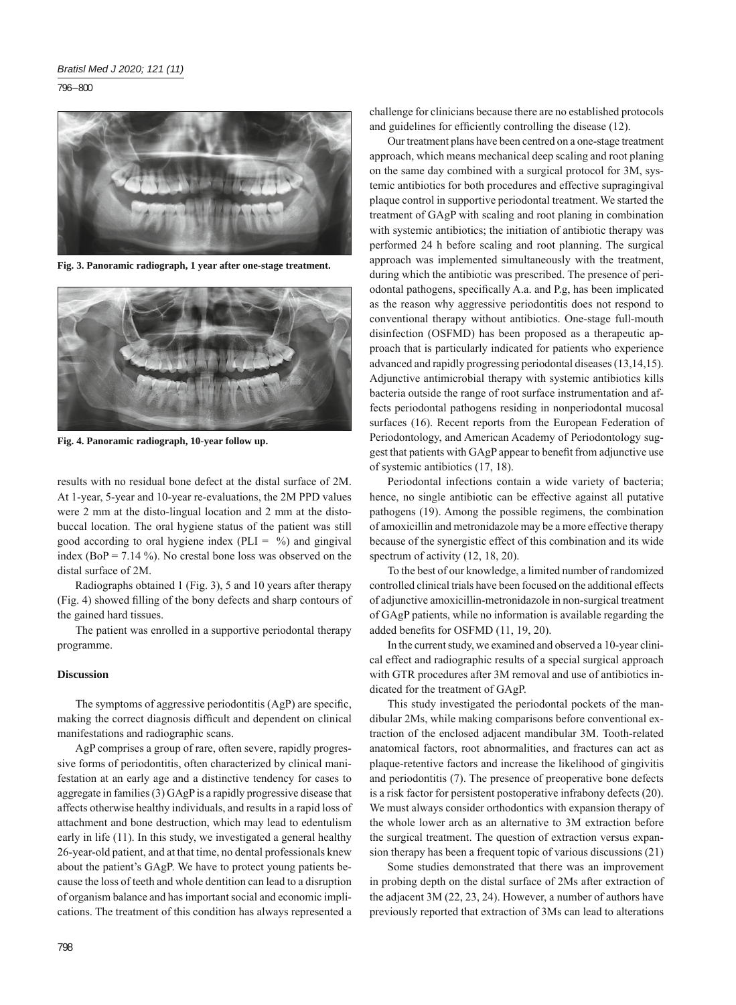796 – 800



**Fig. 3. Panoramic radiograph, 1 year after one-stage treatment.**



**Fig. 4. Panoramic radiograph, 10-year follow up.**

results with no residual bone defect at the distal surface of 2M. At 1-year, 5-year and 10-year re-evaluations, the 2M PPD values were 2 mm at the disto-lingual location and 2 mm at the distobuccal location. The oral hygiene status of the patient was still good according to oral hygiene index (PLI =  $\%$ ) and gingival index (BoP =  $7.14\%$ ). No crestal bone loss was observed on the distal surface of 2M.

Radiographs obtained 1 (Fig. 3), 5 and 10 years after therapy (Fig. 4) showed filling of the bony defects and sharp contours of the gained hard tissues.

The patient was enrolled in a supportive periodontal therapy programme.

# **Discussion**

The symptoms of aggressive periodontitis (AgP) are specific, making the correct diagnosis difficult and dependent on clinical manifestations and radiographic scans.

AgP comprises a group of rare, often severe, rapidly progressive forms of periodontitis, often characterized by clinical manifestation at an early age and a distinctive tendency for cases to aggregate in families (3) GAgP is a rapidly progressive disease that affects otherwise healthy individuals, and results in a rapid loss of attachment and bone destruction, which may lead to edentulism early in life (11). In this study, we investigated a general healthy 26-year-old patient, and at that time, no dental professionals knew about the patient's GAgP. We have to protect young patients because the loss of teeth and whole dentition can lead to a disruption of organism balance and has important social and economic implications. The treatment of this condition has always represented a challenge for clinicians because there are no established protocols and guidelines for efficiently controlling the disease (12).

Our treatment plans have been centred on a one-stage treatment approach, which means mechanical deep scaling and root planing on the same day combined with a surgical protocol for 3M, systemic antibiotics for both procedures and effective supragingival plaque control in supportive periodontal treatment. We started the treatment of GAgP with scaling and root planing in combination with systemic antibiotics; the initiation of antibiotic therapy was performed 24 h before scaling and root planning. The surgical approach was implemented simultaneously with the treatment, during which the antibiotic was prescribed. The presence of periodontal pathogens, specifically A.a. and P.g, has been implicated as the reason why aggressive periodontitis does not respond to conventional therapy without antibiotics. One-stage full-mouth disinfection (OSFMD) has been proposed as a therapeutic approach that is particularly indicated for patients who experience advanced and rapidly progressing periodontal diseases (13,14,15). Adjunctive antimicrobial therapy with systemic antibiotics kills bacteria outside the range of root surface instrumentation and affects periodontal pathogens residing in nonperiodontal mucosal surfaces (16). Recent reports from the European Federation of Periodontology, and American Academy of Periodontology suggest that patients with GAgP appear to benefit from adjunctive use of systemic antibiotics (17, 18).

Periodontal infections contain a wide variety of bacteria; hence, no single antibiotic can be effective against all putative pathogens (19). Among the possible regimens, the combination of amoxicillin and metronidazole may be a more effective therapy because of the synergistic effect of this combination and its wide spectrum of activity  $(12, 18, 20)$ .

To the best of our knowledge, a limited number of randomized controlled clinical trials have been focused on the additional effects of adjunctive amoxicillin-metronidazole in non-surgical treatment of GAgP patients, while no information is available regarding the added benefits for OSFMD (11, 19, 20).

In the current study, we examined and observed a 10-year clinical effect and radiographic results of a special surgical approach with GTR procedures after 3M removal and use of antibiotics indicated for the treatment of GAgP.

This study investigated the periodontal pockets of the mandibular 2Ms, while making comparisons before conventional extraction of the enclosed adjacent mandibular 3M. Tooth-related anatomical factors, root abnormalities, and fractures can act as plaque-retentive factors and increase the likelihood of gingivitis and periodontitis (7). The presence of preoperative bone defects is a risk factor for persistent postoperative infrabony defects (20). We must always consider orthodontics with expansion therapy of the whole lower arch as an alternative to 3M extraction before the surgical treatment. The question of extraction versus expansion therapy has been a frequent topic of various discussions (21)

Some studies demonstrated that there was an improvement in probing depth on the distal surface of 2Ms after extraction of the adjacent 3M (22, 23, 24). However, a number of authors have previously reported that extraction of 3Ms can lead to alterations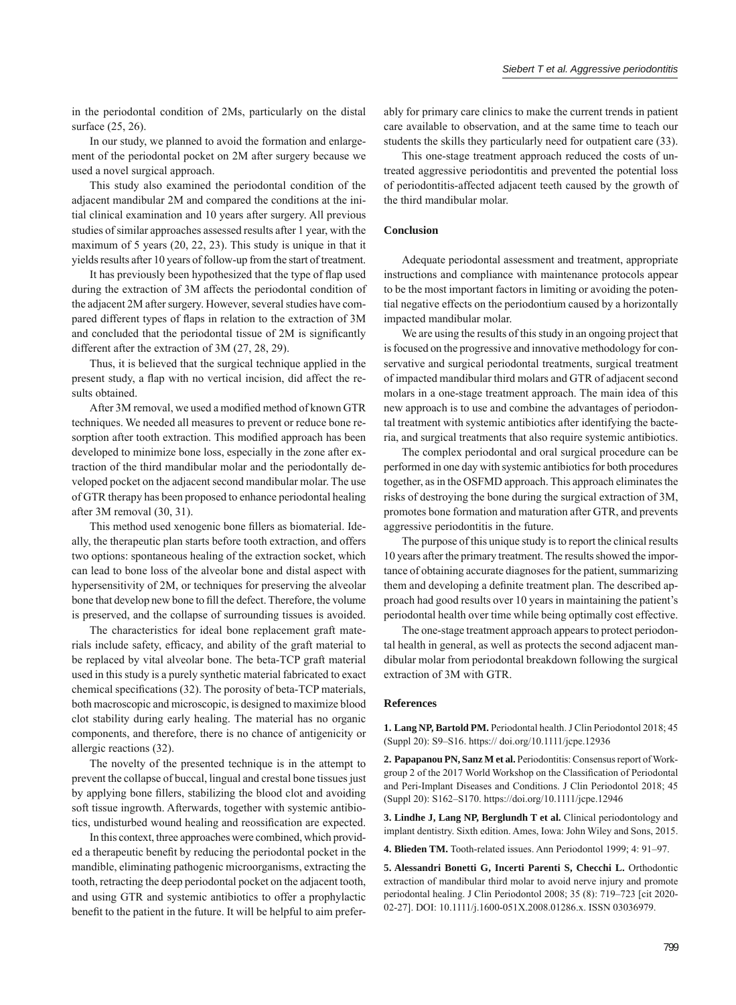in the periodontal condition of 2Ms, particularly on the distal surface (25, 26).

In our study, we planned to avoid the formation and enlargement of the periodontal pocket on 2M after surgery because we used a novel surgical approach.

This study also examined the periodontal condition of the adjacent mandibular 2M and compared the conditions at the initial clinical examination and 10 years after surgery. All previous studies of similar approaches assessed results after 1 year, with the maximum of 5 years (20, 22, 23). This study is unique in that it yields results after 10 years of follow-up from the start of treatment.

It has previously been hypothesized that the type of flap used during the extraction of 3M affects the periodontal condition of the adjacent 2M after surgery. However, several studies have compared different types of flaps in relation to the extraction of 3M and concluded that the periodontal tissue of 2M is significantly different after the extraction of  $3M(27, 28, 29)$ .

Thus, it is believed that the surgical technique applied in the present study, a flap with no vertical incision, did affect the results obtained.

After 3M removal, we used a modified method of known GTR techniques. We needed all measures to prevent or reduce bone resorption after tooth extraction. This modified approach has been developed to minimize bone loss, especially in the zone after extraction of the third mandibular molar and the periodontally developed pocket on the adjacent second mandibular molar. The use of GTR therapy has been proposed to enhance periodontal healing after 3M removal (30, 31).

This method used xenogenic bone fillers as biomaterial. Ideally, the therapeutic plan starts before tooth extraction, and offers two options: spontaneous healing of the extraction socket, which can lead to bone loss of the alveolar bone and distal aspect with hypersensitivity of 2M, or techniques for preserving the alveolar bone that develop new bone to fill the defect. Therefore, the volume is preserved, and the collapse of surrounding tissues is avoided.

The characteristics for ideal bone replacement graft materials include safety, efficacy, and ability of the graft material to be replaced by vital alveolar bone. The beta-TCP graft material used in this study is a purely synthetic material fabricated to exact chemical specifications (32). The porosity of beta-TCP materials, both macroscopic and microscopic, is designed to maximize blood clot stability during early healing. The material has no organic components, and therefore, there is no chance of antigenicity or allergic reactions (32).

The novelty of the presented technique is in the attempt to prevent the collapse of buccal, lingual and crestal bone tissues just by applying bone fillers, stabilizing the blood clot and avoiding soft tissue ingrowth. Afterwards, together with systemic antibiotics, undisturbed wound healing and reossification are expected.

In this context, three approaches were combined, which provided a therapeutic benefit by reducing the periodontal pocket in the mandible, eliminating pathogenic microorganisms, extracting the tooth, retracting the deep periodontal pocket on the adjacent tooth, and using GTR and systemic antibiotics to offer a prophylactic benefit to the patient in the future. It will be helpful to aim prefer-

ably for primary care clinics to make the current trends in patient care available to observation, and at the same time to teach our students the skills they particularly need for outpatient care (33).

This one-stage treatment approach reduced the costs of untreated aggressive periodontitis and prevented the potential loss of periodontitis-affected adjacent teeth caused by the growth of the third mandibular molar.

#### **Conclusion**

Adequate periodontal assessment and treatment, appropriate instructions and compliance with maintenance protocols appear to be the most important factors in limiting or avoiding the potential negative effects on the periodontium caused by a horizontally impacted mandibular molar.

We are using the results of this study in an ongoing project that is focused on the progressive and innovative methodology for conservative and surgical periodontal treatments, surgical treatment of impacted mandibular third molars and GTR of adjacent second molars in a one-stage treatment approach. The main idea of this new approach is to use and combine the advantages of periodontal treatment with systemic antibiotics after identifying the bacteria, and surgical treatments that also require systemic antibiotics.

The complex periodontal and oral surgical procedure can be performed in one day with systemic antibiotics for both procedures together, as in the OSFMD approach. This approach eliminates the risks of destroying the bone during the surgical extraction of 3M, promotes bone formation and maturation after GTR, and prevents aggressive periodontitis in the future.

The purpose of this unique study is to report the clinical results 10 years after the primary treatment. The results showed the importance of obtaining accurate diagnoses for the patient, summarizing them and developing a definite treatment plan. The described approach had good results over 10 years in maintaining the patient's periodontal health over time while being optimally cost effective.

The one-stage treatment approach appears to protect periodontal health in general, as well as protects the second adjacent mandibular molar from periodontal breakdown following the surgical extraction of 3M with GTR.

#### **References**

**1. Lang NP, Bartold PM.** Periodontal health. J Clin Periodontol 2018; 45 (Suppl 20): S9–S16. https:// doi.org/10.1111/jcpe.12936

**2. Papapanou PN, Sanz M et al.** Periodontitis: Consensus report of Workgroup 2 of the 2017 World Workshop on the Classification of Periodontal and Peri-Implant Diseases and Conditions. J Clin Periodontol 2018; 45 (Suppl 20): S162–S170. https://doi.org/10.1111/jcpe.12946

**3. Lindhe J, Lang NP, Berglundh T et al.** Clinical periodontology and implant dentistry. Sixth edition. Ames, Iowa: John Wiley and Sons, 2015.

**4. Blieden TM.** Tooth-related issues. Ann Periodontol 1999; 4: 91–97.

**5. Alessandri Bonetti G, Incerti Parenti S, Checchi L.** Orthodontic extraction of mandibular third molar to avoid nerve injury and promote periodontal healing. J Clin Periodontol 2008; 35 (8): 719–723 [cit 2020- 02-27]. DOI: 10.1111/j.1600-051X.2008.01286.x. ISSN 03036979.